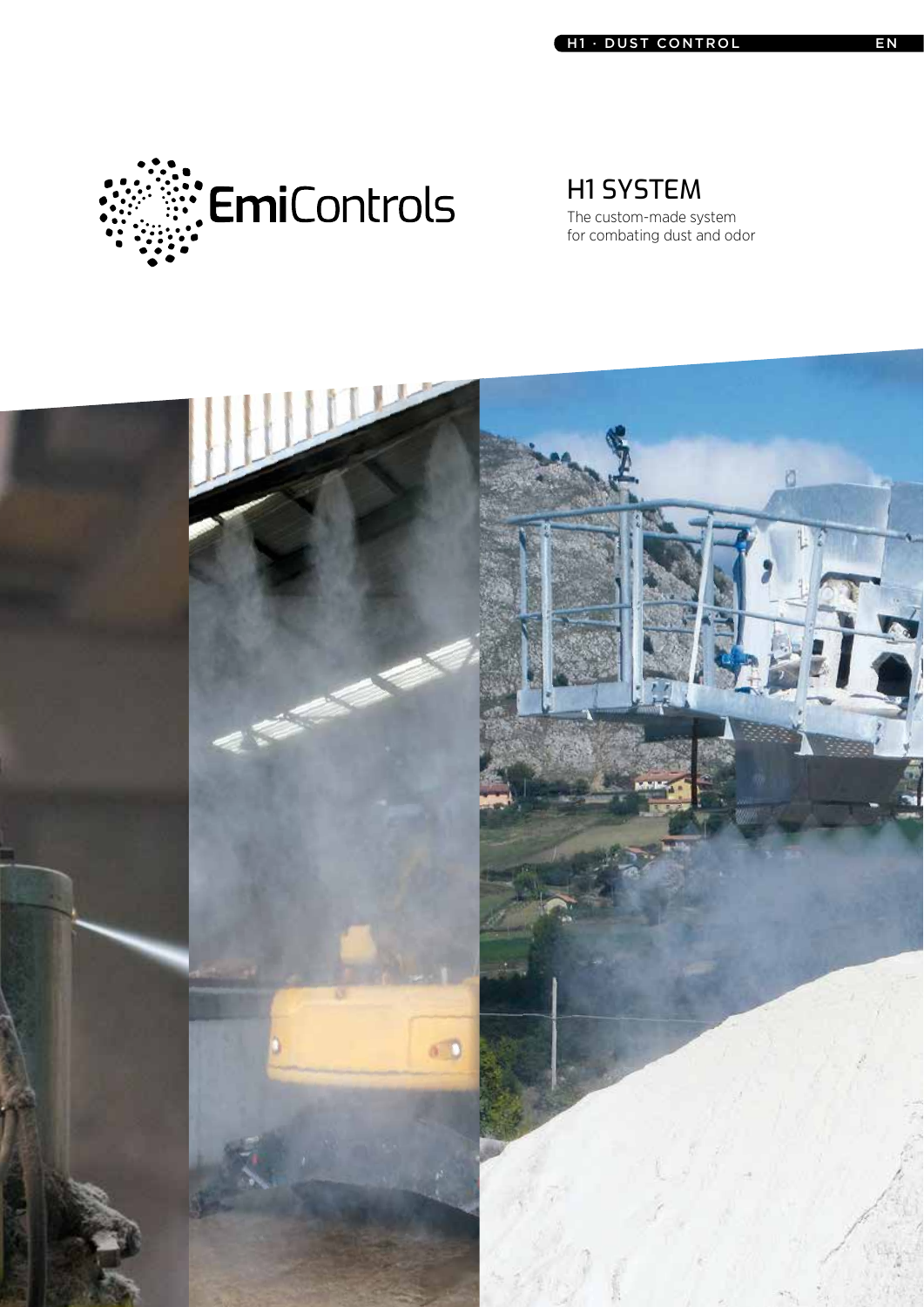



## H1 SYSTEM

The custom-made system for combating dust and odor

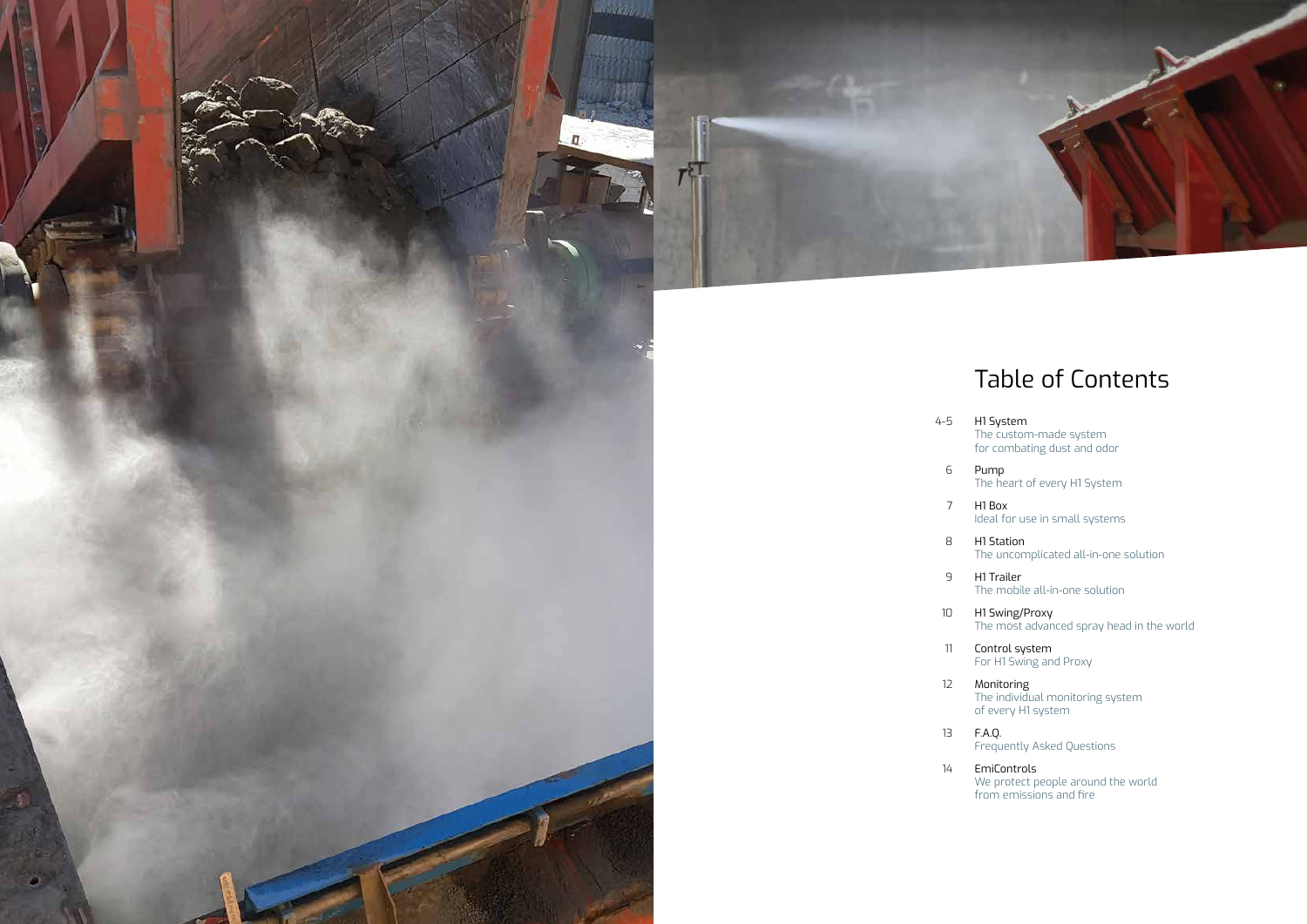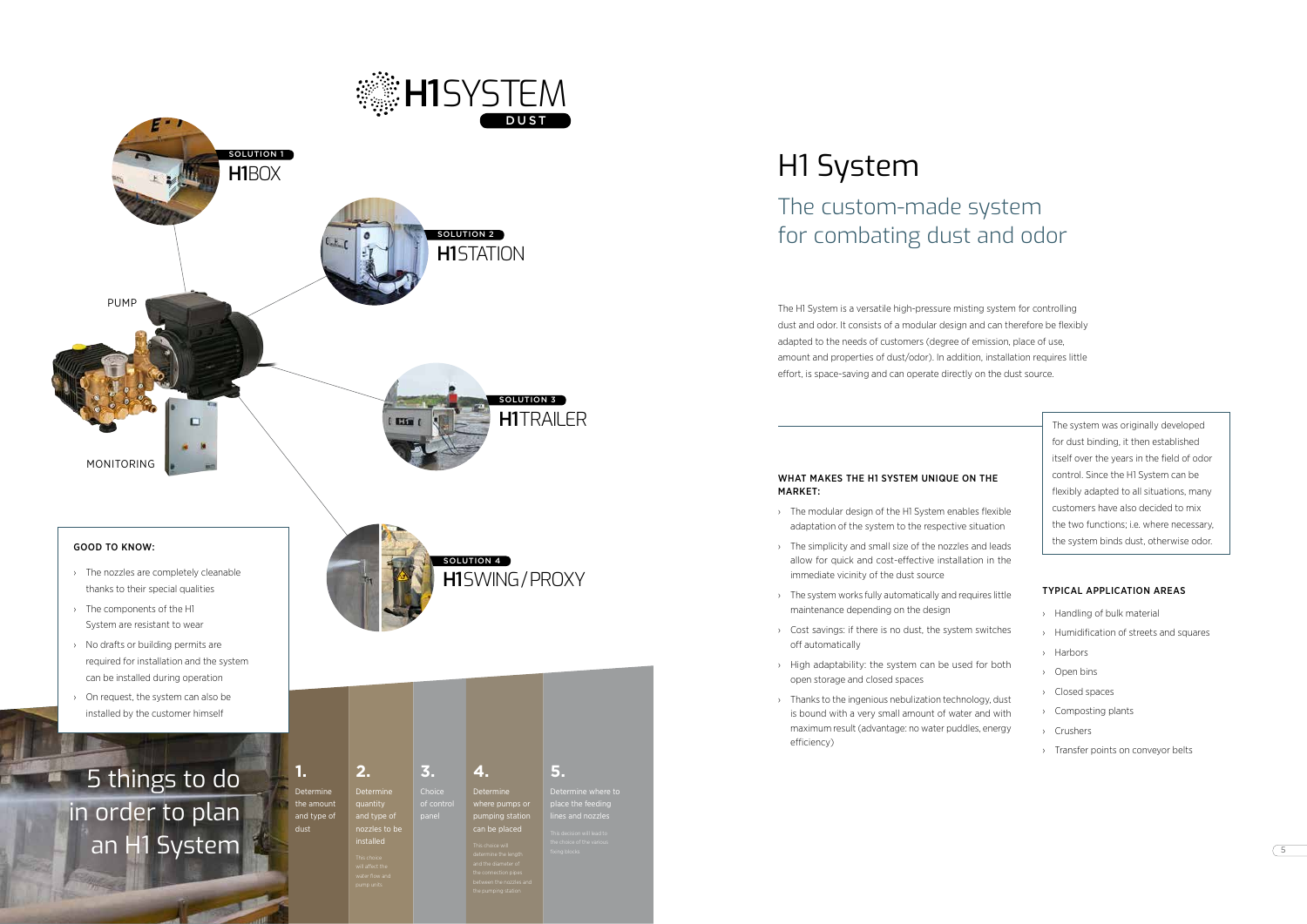The H1 System is a versatile high-pressure misting system for controlling dust and odor. It consists of a modular design and can therefore be flexibly adapted to the needs of customers (degree of emission, place of use, amount and properties of dust/odor). In addition, installation requires little effort, is space-saving and can operate directly on the dust source.

# H1 System The custom-made system

# for combating dust and odor

#### WHAT MAKES THE H1 SYSTEM UNIQUE ON THE MARKET:

- › The modular design of the H1 System enables flexible adaptation of the system to the respective situation
- › The simplicity and small size of the nozzles and leads allow for quick and cost-effective installation in the immediate vicinity of the dust source
- › The system works fully automatically and requires little maintenance depending on the design
- › Cost savings: if there is no dust, the system switches off automatically
- › High adaptability: the system can be used for both open storage and closed spaces
- > Thanks to the ingenious nebulization technology, dust is bound with a very small amount of water and with maximum result (advantage: no water puddles, energy efficiency)

- 
- 
- 
- 
- 



### TYPICAL APPLICATION AREAS

- › Handling of bulk material
- › Humidification of streets and squares
- › Harbors
- › Open bins
- › Closed spaces
- › Composting plants
- › Crushers
- › Transfer points on conveyor belts

The system was originally developed for dust binding, it then established itself over the years in the field of odor control. Since the H1 System can be flexibly adapted to all situations, many customers have also decided to mix the two functions; i.e. where necessary, the system binds dust, otherwise odor.

Determine quantity and type of nozzles to be installed

panel

Determine where pumps  $\theta$ pumping station can be placed Determine where to place the feeding lines and nozzles

Determine the amount and type of dust

**1. 2. 3. 4. 5.** 5 things to do

Choice

in order to plan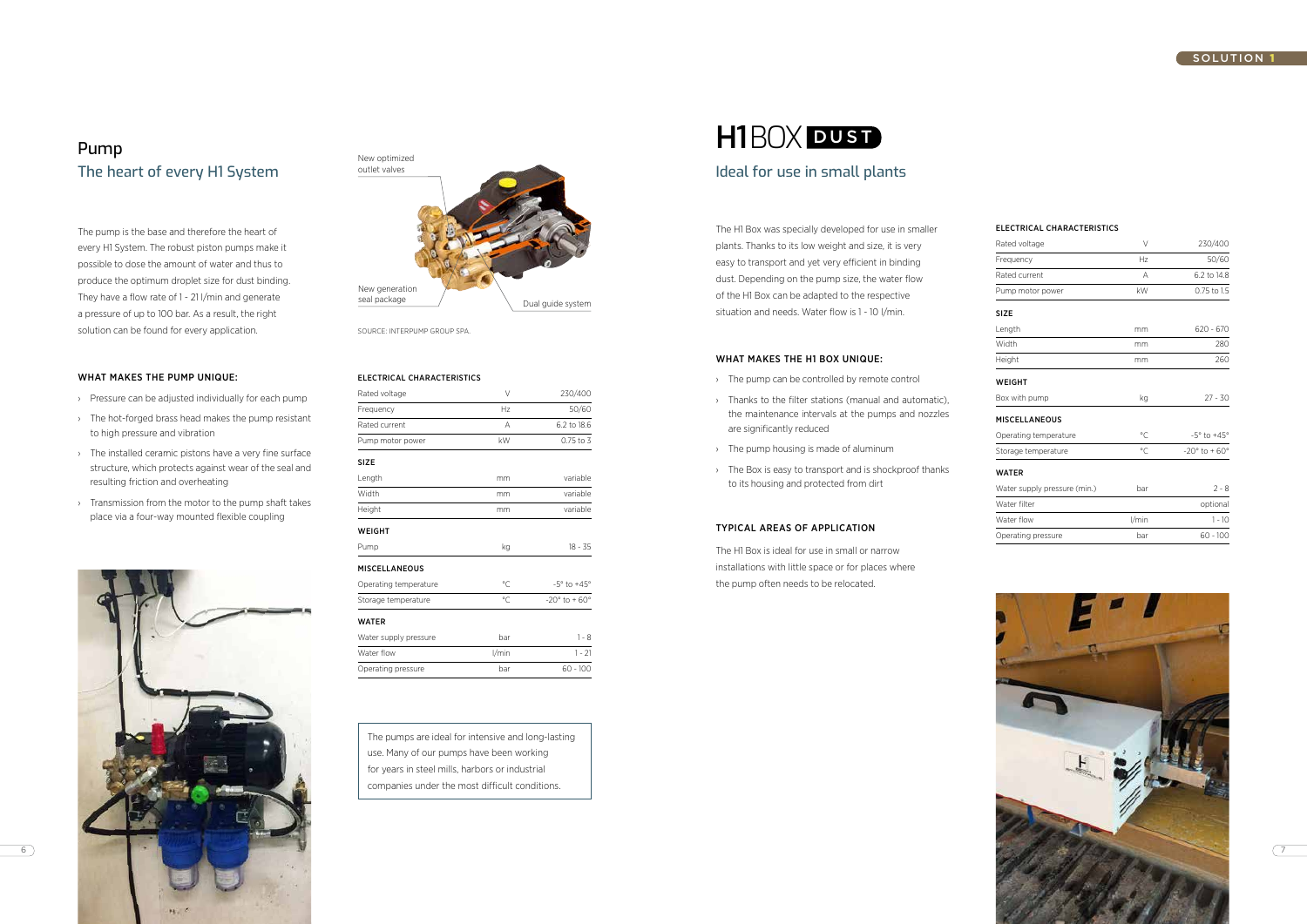

The H1 Box was specially developed for use in smaller plants. Thanks to its low weight and size, it is very easy to transport and yet very efficient in binding dust. Depending on the pump size, the water flow of the H1 Box can be adapted to the respective situation and needs. Water flow is 1 - 10 l/min.

#### WHAT MAKES THE H1 BOX UNIQUE:

- › The pump can be controlled by remote control
- › Thanks to the filter stations (manual and automatic), the maintenance intervals at the pumps and nozzles are significantly reduced
- › The pump housing is made of aluminum
- › The Box is easy to transport and is shockproof thanks to its housing and protected from dirt

#### TYPICAL AREAS OF APPLICATION

The H1 Box is ideal for use in small or narrow installations with little space or for places where the pump often needs to be relocated.

### SOLUTION 1

#### ELECTRICAL CHARACTERISTICS

| Rated voltage                | V            | 230/400                       |
|------------------------------|--------------|-------------------------------|
| Frequency                    | Hz           | 50/60                         |
| Rated current                | А            | 6.2 to 14.8                   |
| Pump motor power             | kW           | 0.75 to 1.5                   |
| <b>SIZE</b>                  |              |                               |
| Length                       | mm           | $620 - 670$                   |
| Width                        | mm           | 280                           |
| Height                       | mm           | 260                           |
| WEIGHT                       |              |                               |
| Box with pump                | kg           | $27 - 30$                     |
| <b>MISCELLANEOUS</b>         |              |                               |
| Operating temperature        | $\mathrm{C}$ | $-5^{\circ}$ to $+45^{\circ}$ |
| Storage temperature          | $\circ$ C    | $-20^{\circ}$ to + 60°        |
| <b>WATER</b>                 |              |                               |
| Water supply pressure (min.) | bar          | $2 - 8$                       |
| Water filter                 |              | optional                      |
| Water flow                   | l/min        | $1 - 10$                      |
| Operating pressure           | bar          | $60 - 100$                    |
|                              |              |                               |



The pump is the base and therefore the heart of every H1 System. The robust piston pumps make it possible to dose the amount of water and thus to produce the optimum droplet size for dust binding. They have a flow rate of 1 - 21 l/min and generate a pressure of up to 100 bar. As a result, the right solution can be found for every application.

#### WHAT MAKES THE PUMP UNIQUE:

- › Pressure can be adjusted individually for each pump
- › The hot-forged brass head makes the pump resistant to high pressure and vibration
- > The installed ceramic pistons have a very fine surface structure, which protects against wear of the seal and resulting friction and overheating
- > Transmission from the motor to the pump shaft takes place via a four-way mounted flexible coupling

### ELECTRICAL CHARACTERISTICS

| Rated voltage         | V         | 230/400                        |
|-----------------------|-----------|--------------------------------|
| Frequency             | Hz        | 50/60                          |
| Rated current         | А         | 62to 186                       |
| Pump motor power      | kW        | $0.75$ to 3                    |
| <b>SIZE</b>           |           |                                |
| Length                | mm        | variable                       |
| Width                 | mm        | variable                       |
| Height                | mm        | variable                       |
| WEIGHT                |           |                                |
| Pump                  | kg        | $18 - 35$                      |
| <b>MISCELLANEOUS</b>  |           |                                |
| Operating temperature | $\circ$ C | $-5^{\circ}$ to $+45^{\circ}$  |
| Storage temperature   | $\circ$ C | $-20^{\circ}$ to $+60^{\circ}$ |
| <b>WATER</b>          |           |                                |
| Water supply pressure | bar       | $1 - 8$                        |
| Water flow            | 1/min     | $1 - 21$                       |
| Operating pressure    | bar       | $60 - 100$                     |

The pumps are ideal for intensive and long-lasting use. Many of our pumps have been working for years in steel mills, harbors or industrial companies under the most difficult conditions.

## Pump The heart of every H1 System





## Ideal for use in small plants

SOURCE: INTERPUMP GROUP SPA.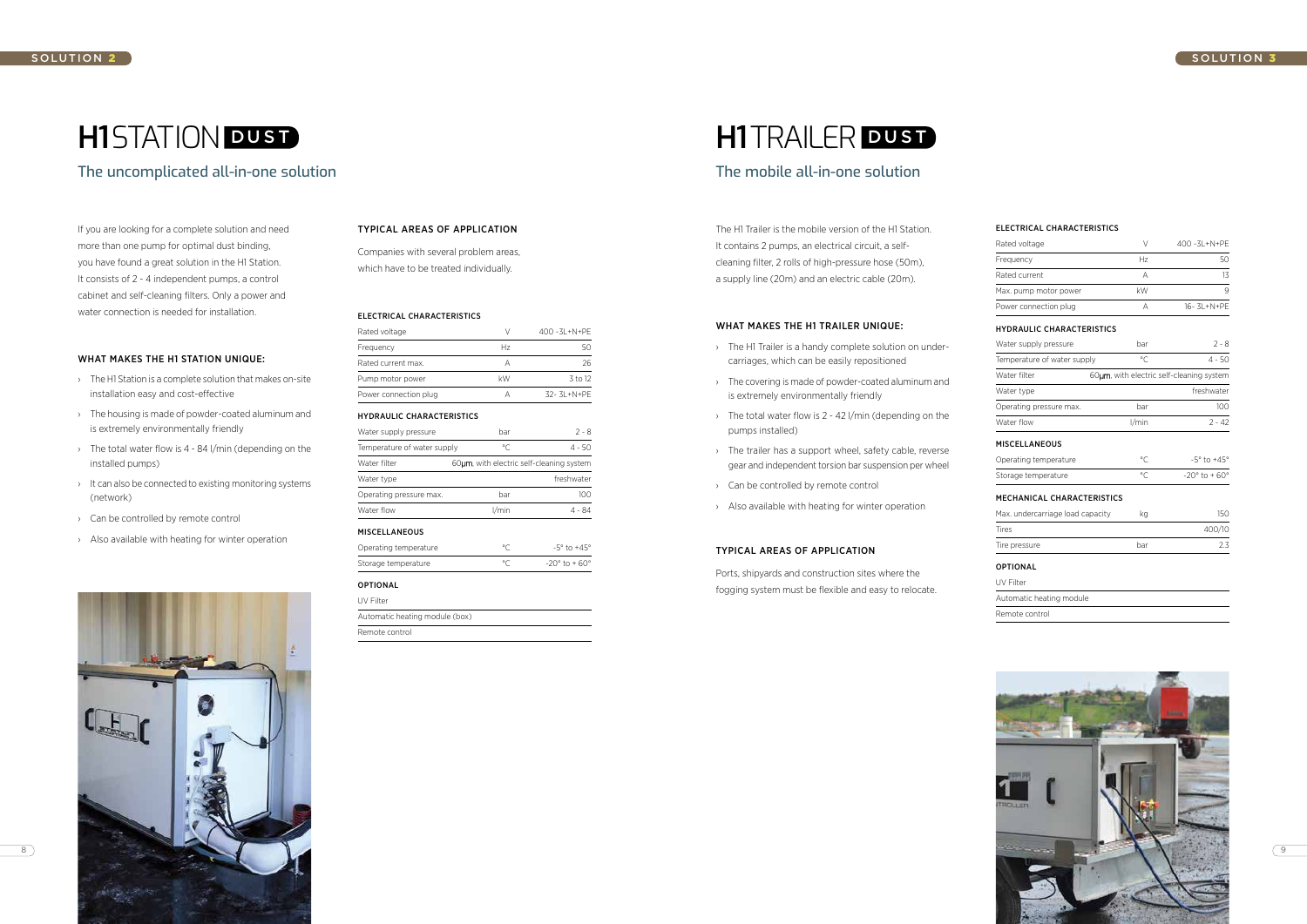

If you are looking for a complete solution and need more than one pump for optimal dust binding, you have found a great solution in the H1 Station. It consists of 2 - 4 independent pumps, a control cabinet and self-cleaning filters. Only a power and water connection is needed for installation.

#### WHAT MAKES THE H1 STATION UNIQUE:

- > The H1 Station is a complete solution that makes on-site installation easy and cost-effective
- › The housing is made of powder-coated aluminum and is extremely environmentally friendly
- > The total water flow is 4 84 l/min (depending on the installed pumps)
- $\rightarrow$  It can also be connected to existing monitoring systems (network)
- › Can be controlled by remote control
- › Also available with heating for winter operation

The H1 Trailer is the mobile version of the H1 Station. It contains 2 pumps, an electrical circuit, a selfcleaning filter, 2 rolls of high-pressure hose (50m), a supply line (20m) and an electric cable (20m).

#### WHAT MAKES THE H1 TRAILER UNIQUE:

- › The H1 Trailer is a handy complete solution on undercarriages, which can be easily repositioned
- › The covering is made of powder-coated aluminum and is extremely environmentally friendly
- › The total water flow is 2 42 l/min (depending on the pumps installed)
- › The trailer has a support wheel, safety cable, reverse gear and independent torsion bar suspension per wheel
- › Can be controlled by remote control
- › Also available with heating for winter operation

#### TYPICAL AREAS OF APPLICATION

Ports, shipyards and construction sites where the fogging system must be flexible and easy to relocate.

#### SOLUTION 3

#### ELECTRICAL CHARACTERISTICS

| Rated voltage         |    | $400 - 31 + N + PF$ |
|-----------------------|----|---------------------|
| Frequency             | Hz | 50                  |
| Rated current max.    | А  | 26                  |
| Pump motor power      | kW | 3 to 12             |
| Power connection plug |    | $32 - 31 + N + PF$  |

#### HYDRAULIC CHARACTERISTICS

| Water supply pressure       | bar     | $2 - 8$                                  |
|-----------------------------|---------|------------------------------------------|
| Temperature of water supply | $\circ$ | $4 - 50$                                 |
| Water filter                |         | 60um, with electric self-cleaning system |
| Water type                  |         | freshwater                               |
| Operating pressure max.     | bar     | 100                                      |
| Water flow                  | 1/min   | 4 - 84                                   |

#### MISCELLANEOUS

| Operating temperature |         | $-5^{\circ}$ to $+45^{\circ}$ |
|-----------------------|---------|-------------------------------|
| Storage temperature   | $\circ$ | $-20^{\circ}$ to + 60°        |

#### OPTIONAL

| UV Filter                      |
|--------------------------------|
| Automatic heating module (box) |
| Remote control                 |

#### ELECTRICAL CHARACTERISTICS

| V                                      | 400~3L+N+PE                              |
|----------------------------------------|------------------------------------------|
| Hz                                     | 50                                       |
| А                                      | 13                                       |
| kW                                     | 9                                        |
| А                                      | 16~3L+N+PE                               |
| <b>HYDRAULIC CHARACTERISTICS</b>       |                                          |
| bar                                    | $2 - 8$                                  |
| $^{\circ}$ C                           | $4 - 50$                                 |
|                                        | 60um, with electric self-cleaning system |
|                                        | freshwater                               |
| bar                                    | 100                                      |
| 1/min                                  | $2 - 42$                                 |
|                                        |                                          |
| $\mathrm{C}$                           | $-5^{\circ}$ to $+45^{\circ}$            |
| $\circ$ C                              | $-20^{\circ}$ to + 60°                   |
| <b>MECHANICAL CHARACTERISTICS</b>      |                                          |
| Max. undercarriage load capacity<br>kg | 150                                      |
|                                        | 400/10                                   |
| bar                                    | 2.3                                      |
|                                        |                                          |
|                                        |                                          |
|                                        |                                          |
|                                        |                                          |
|                                        |                                          |



#### TYPICAL AREAS OF APPLICATION

Companies with several problem areas, which have to be treated individually.

# **H1**TRAILER DUST

### The mobile all-in-one solution

# **H1**STATION DUST

## The uncomplicated all-in-one solution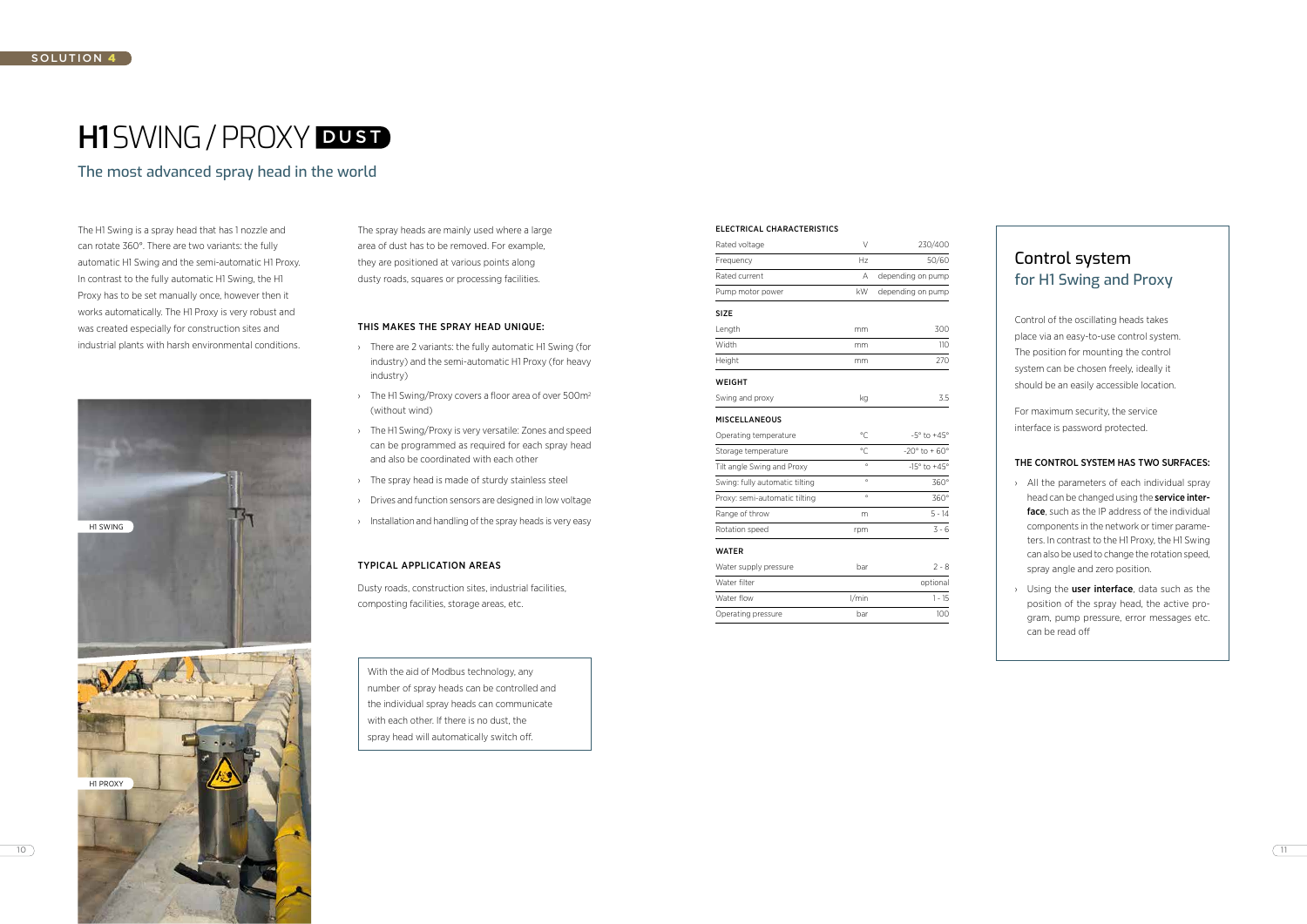The H1 Swing is a spray head that has 1 nozzle and can rotate 360°. There are two variants: the fully automatic H1 Swing and the semi-automatic H1 Proxy. In contrast to the fully automatic H1 Swing, the H1 Proxy has to be set manually once, however then it works automatically. The H1 Proxy is very robust and was created especially for construction sites and industrial plants with harsh environmental conditions.

#### ELECTRICAL CHARACTERISTICS

| Rated voltage                  | V         | 230/400                        |
|--------------------------------|-----------|--------------------------------|
| Frequency                      | Hz        | 50/60                          |
| Rated current                  | А         | depending on pump              |
| Pump motor power               | kW        | depending on pump              |
| SIZE                           |           |                                |
| Length                         | mm        | 300                            |
| Width                          | mm        | 110                            |
| Height                         | mm        | 270                            |
| WEIGHT                         |           |                                |
| Swing and proxy                | kg        | 3.5                            |
| MISCELLANEOUS                  |           |                                |
| Operating temperature          | $\circ$ C | $-5^\circ$ to $+45^\circ$      |
| Storage temperature            | $\circ$ C | $-20^{\circ}$ to $+60^{\circ}$ |
| Tilt angle Swing and Proxy     | o         | $-15^{\circ}$ to $+45^{\circ}$ |
| Swing: fully automatic tilting | $\circ$   | $360^\circ$                    |
| Proxy: semi-automatic tilting  | $\circ$   | 360°                           |
| Range of throw                 | m         | $5 - 14$                       |
| Rotation speed                 | rpm       | $3 - 6$                        |
| WATER                          |           |                                |
| Water supply pressure          | bar       | $2 - 8$                        |
| Water filter                   |           | optional                       |
| Water flow                     | 1/min     | $1 - 15$                       |
| Operating pressure             | bar       | 100                            |
|                                |           |                                |



With the aid of Modbus technology, any number of spray heads can be controlled and the individual spray heads can communicate with each other. If there is no dust, the spray head will automatically switch off.

The spray heads are mainly used where a large area of dust has to be removed. For example, they are positioned at various points along dusty roads, squares or processing facilities.

#### THIS MAKES THE SPRAY HEAD UNIQUE:

- › There are 2 variants: the fully automatic H1 Swing (for industry) and the semi-automatic H1 Proxy (for heavy industry)
- › The H1 Swing/Proxy covers a floor area of over 500m2 (without wind)
- › The H1 Swing/Proxy is very versatile: Zones and speed can be programmed as required for each spray head and also be coordinated with each other
- › The spray head is made of sturdy stainless steel
- › Drives and function sensors are designed in low voltage
- › Installation and handling of the spray heads is very easy

#### TYPICAL APPLICATION AREAS

Dusty roads, construction sites, industrial facilities, composting facilities, storage areas, etc.

# **H1**SWING / PROXY DUST

## The most advanced spray head in the world

## Control system for H1 Swing and Proxy

Control of the oscillating heads takes place via an easy-to-use control system. The position for mounting the control system can be chosen freely, ideally it should be an easily accessible location.

For maximum security, the service interface is password protected.

### THE CONTROL SYSTEM HAS TWO SURFACES:

- › All the parameters of each individual spray head can be changed using the service interface, such as the IP address of the individual components in the network or timer parameters. In contrast to the H1 Proxy, the H1 Swing can also be used to change the rotation speed, spray angle and zero position.
- > Using the user interface, data such as the position of the spray head, the active program, pump pressure, error messages etc. can be read off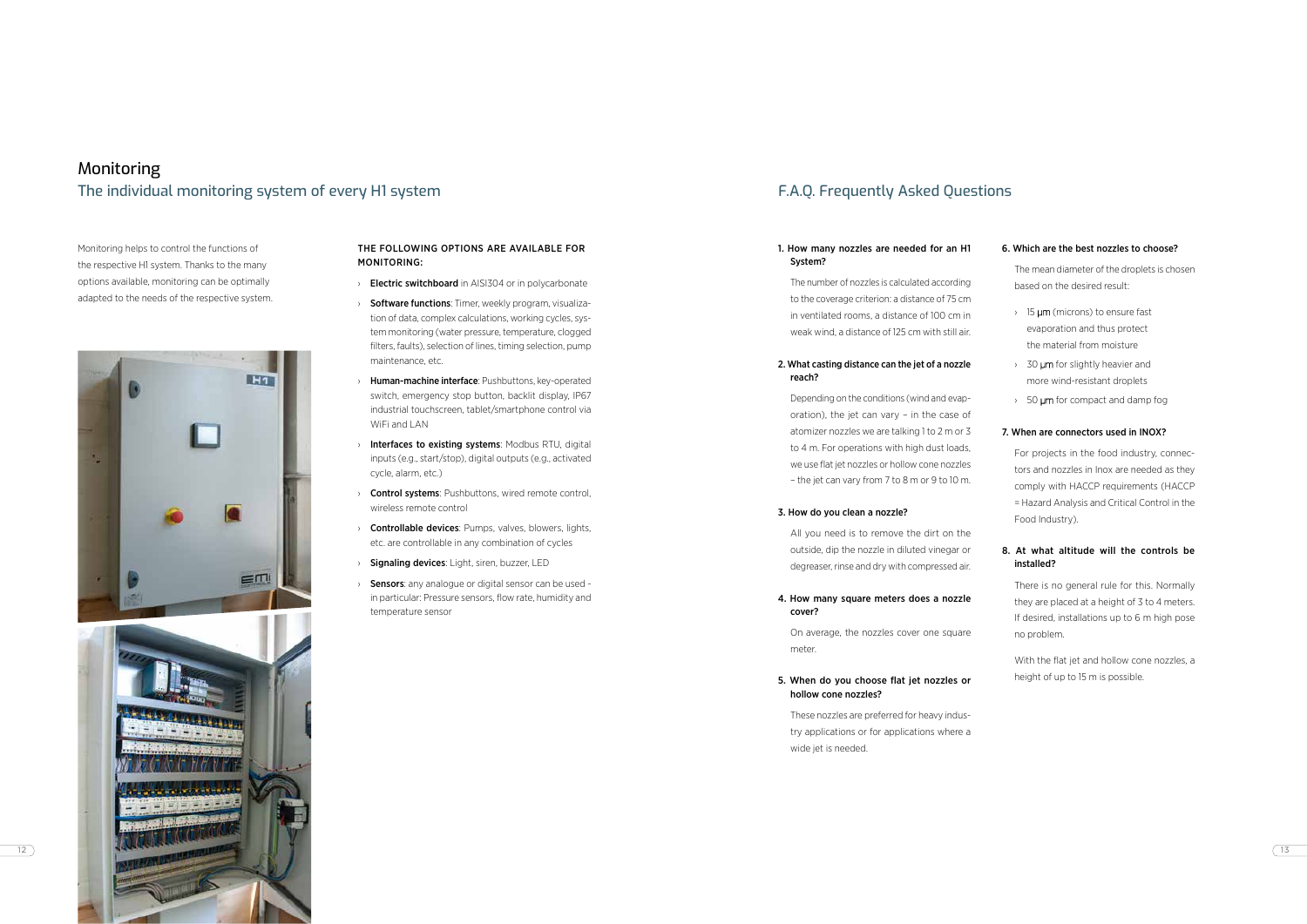

#### 1. How many nozzles are needed for an H1 System?

The number of nozzles is calculated according to the coverage criterion: a distance of 75 cm in ventilated rooms, a distance of 100 cm in weak wind, a distance of 125 cm with still air.

#### 2. What casting distance can the jet of a nozzle reach?

On average, the nozzles cover one square meter.

Depending on the conditions (wind and evaporation), the jet can vary – in the case of atomizer nozzles we are talking 1 to 2 m or 3 to 4 m. For operations with high dust loads, we use flat jet nozzles or hollow cone nozzles – the jet can vary from 7 to 8 m or 9 to 10 m.

#### 3. How do you clean a nozzle?

All you need is to remove the dirt on the outside, dip the nozzle in diluted vinegar or degreaser, rinse and dry with compressed air.

#### 4. How many square meters does a nozzle cover?

#### 5. When do you choose flat jet nozzles or hollow cone nozzles?

With the flat jet and hollow cone nozzles, a height of up to 15 m is possible.

These nozzles are preferred for heavy industry applications or for applications where a wide jet is needed.

#### 6. Which are the best nozzles to choose?

The mean diameter of the droplets is chosen based on the desired result:

- > 15 **µm** (microns) to ensure fast evaporation and thus protect the material from moisture
- $\rightarrow$  30  $\mu$ m for slightly heavier and more wind-resistant droplets
- $\rightarrow$  50  $\mu$ m for compact and damp fog

#### 7. When are connectors used in INOX?

For projects in the food industry, connectors and nozzles in Inox are needed as they comply with HACCP requirements (HACCP = Hazard Analysis and Critical Control in the Food Industry).

- **Electric switchboard** in AISI304 or in polycarbonate
- > Software functions: Timer, weekly program, visualization of data, complex calculations, working cycles, system monitoring (water pressure, temperature, clogged filters, faults), selection of lines, timing selection, pump maintenance, etc.
- Human-machine interface: Pushbuttons, key-operated switch, emergency stop button, backlit display, IP67 industrial touchscreen, tablet/smartphone control via WiFi and LAN
- › Interfaces to existing systems: Modbus RTU, digital inputs (e.g., start/stop), digital outputs (e.g., activated cycle, alarm, etc.)
- › Control systems: Pushbuttons, wired remote control, wireless remote control
- > **Controllable devices**: Pumps, valves, blowers, lights, etc. are controllable in any combination of cycles
- › Signaling devices: Light, siren, buzzer, LED
- Sensors: any analogue or digital sensor can be used in particular: Pressure sensors, flow rate, humidity and temperature sensor

## Monitoring The individual monitoring system of every H1 system F.A.Q. Frequently Asked Questions

### 8. At what altitude will the controls be installed?

There is no general rule for this. Normally they are placed at a height of 3 to 4 meters. If desired, installations up to 6 m high pose no problem.

Monitoring helps to control the functions of the respective H1 system. Thanks to the many options available, monitoring can be optimally adapted to the needs of the respective system.

### THE FOLLOWING OPTIONS ARE AVAILABLE FOR MONITORING: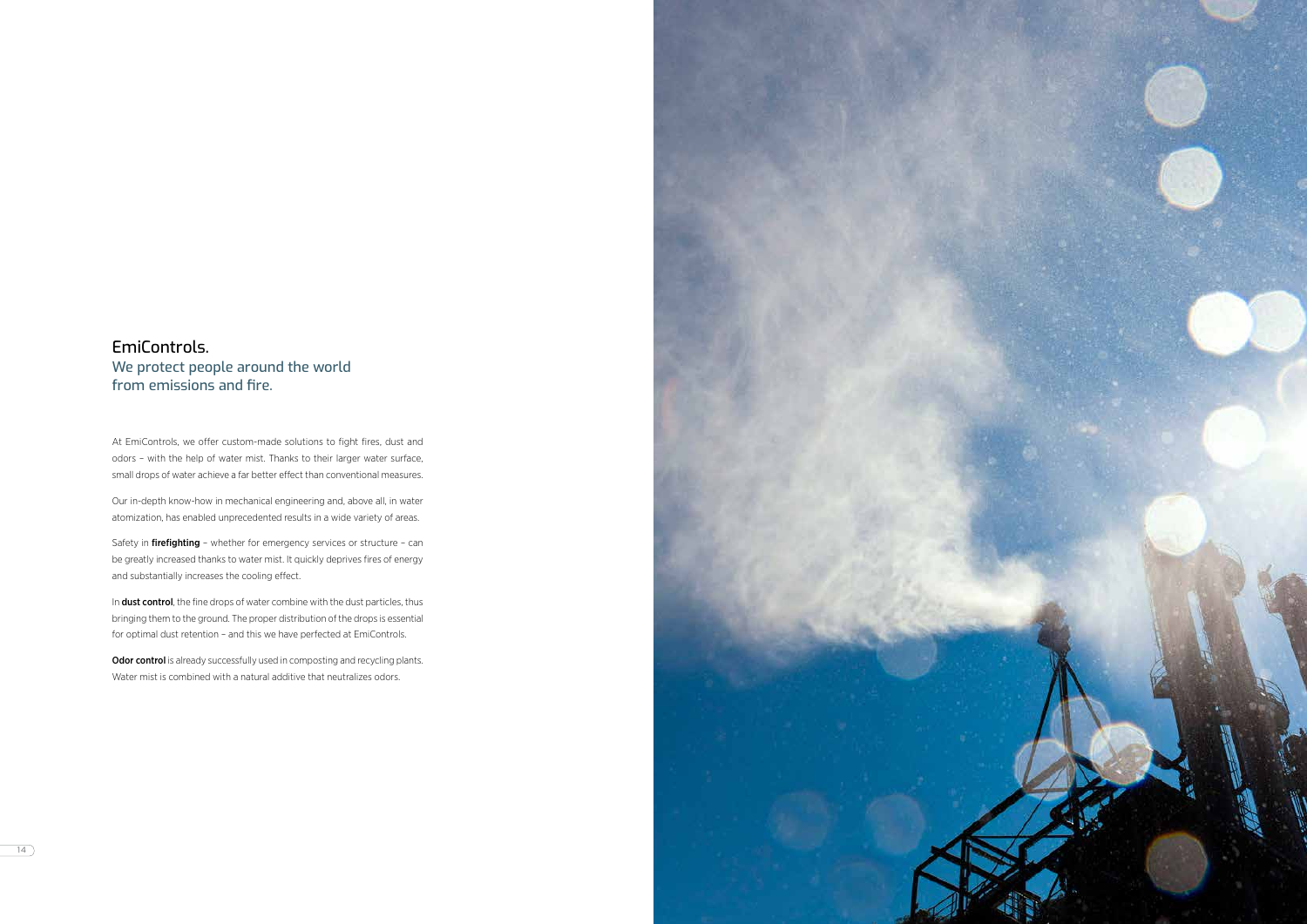

At EmiControls, we offer custom-made solutions to fight fires, dust and odors – with the help of water mist. Thanks to their larger water surface, small drops of water achieve a far better effect than conventional measures.

Safety in *firefighting* - whether for emergency services or structure - can be greatly increased thanks to water mist. It quickly deprives fires of energy and substantially increases the cooling effect.

Our in-depth know-how in mechanical engineering and, above all, in water atomization, has enabled unprecedented results in a wide variety of areas.

In **dust control**, the fine drops of water combine with the dust particles, thus bringing them to the ground. The proper distribution of the drops is essential for optimal dust retention – and this we have perfected at EmiControls.

Odor control is already successfully used in composting and recycling plants. Water mist is combined with a natural additive that neutralizes odors.

## EmiControls. We protect people around the world from emissions and fire.